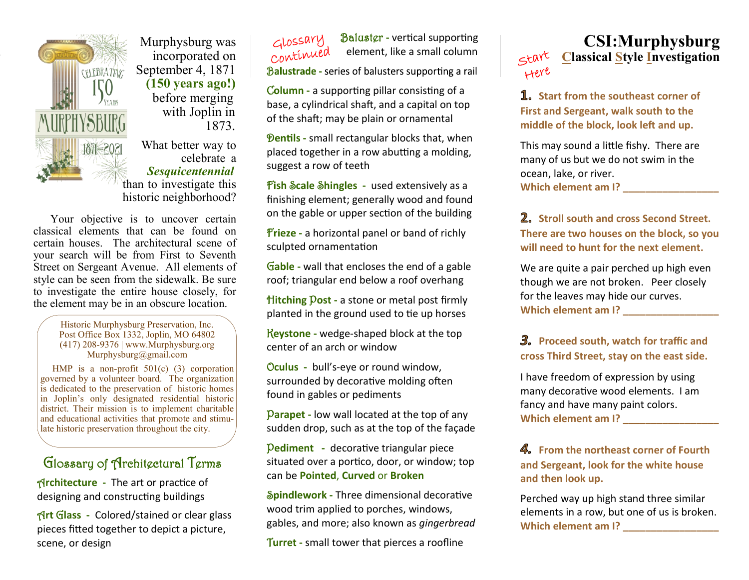

 Murphysburg was incorporated on CELEBRATING September 4, 1871 **(150 years ago!)** before merging with Joplin in 1873.

> What better way to celebrate a *Sesquicentennial*  than to investigate this historic neighborhood?

 Your objective is to uncover certain classical elements that can be found on certain houses. The architectural scene of your search will be from First to Seventh Street on Sergeant Avenue. All elements of style can be seen from the sidewalk. Be sure to investigate the entire house closely, for the element may be in an obscure location.

> Historic Murphysburg Preservation, Inc. Post Office Box 1332, Joplin, MO 64802 (417) 208-9376 | www.Murphysburg.org Murphysburg@gmail.com

 HMP is a non-profit 501(c) (3) corporation governed by a volunteer board. The organization is dedicated to the preservation of historic homes in Joplin's only designated residential historic district. Their mission is to implement charitable and educational activities that promote and stimulate historic preservation throughout the city.

# Glossary of Architectural Terms

A**rchitecture -** The art or practice of designing and constructing buildings

A**rt** G**lass -** Colored/stained or clear glass pieces fitted together to depict a picture, scene, or design

 Baluster **-** vertical supporting continued element, like a small column

Balustrade - series of balusters supporting a rail

C**olumn -** a supporting pillar consisting of a base, a cylindrical shaft, and a capital on top of the shaft; may be plain or ornamental

**Pentils** - small rectangular blocks that, when placed together in a row abutting a molding, suggest a row of teeth

F**ish** S**cale** S**hingles -** used extensively as a finishing element; generally wood and found on the gable or upper section of the building

F**rieze -** a horizontal panel or band of richly sculpted ornamentation

G**able -** wall that encloses the end of a gable roof; triangular end below a roof overhang

H**itching** P**ost -** a stone or metal post firmly planted in the ground used to tie up horses

K**eystone -** wedge-shaped block at the top center of an arch or window

O**culus -** bull's-eye or round window, surrounded by decorative molding often found in gables or pediments

P**arapet -** low wall located at the top of any sudden drop, such as at the top of the façade

P**ediment -** decorative triangular piece situated over a portico, door, or window; top can be **Pointed**, **Curved** or **Broken**

S**pindlework -** Three dimensional decorative wood trim applied to porches, windows, gables, and more; also known as *gingerbread*

T**urret -** small tower that pierces a roofline

#### **CSI:Murphysburg** start **Classical Style Investigation** Here

**1.** Start from the southeast corner of **First and Sergeant, walk south to the middle of the block, look left and up.**

This may sound a little fishy. There are many of us but we do not swim in the ocean, lake, or river. **Which element am I? Which element am I?** 

**Stroll south and cross Second Street. There are two houses on the block, so you will need to hunt for the next element.**

We are quite a pair perched up high even though we are not broken. Peer closely for the leaves may hide our curves. **Which element am I? \_\_\_\_\_\_\_\_\_\_\_\_\_\_\_\_\_**

## **Proceed south, watch for traffic and cross Third Street, stay on the east side.**

I have freedom of expression by using many decorative wood elements. I am fancy and have many paint colors. **Which element am I? \_\_\_\_\_\_\_\_\_\_\_\_\_\_\_\_\_** 

#### **From the northeast corner of Fourth and Sergeant, look for the white house and then look up.**

Perched way up high stand three similar elements in a row, but one of us is broken. **Which element am I? Which element am I?**